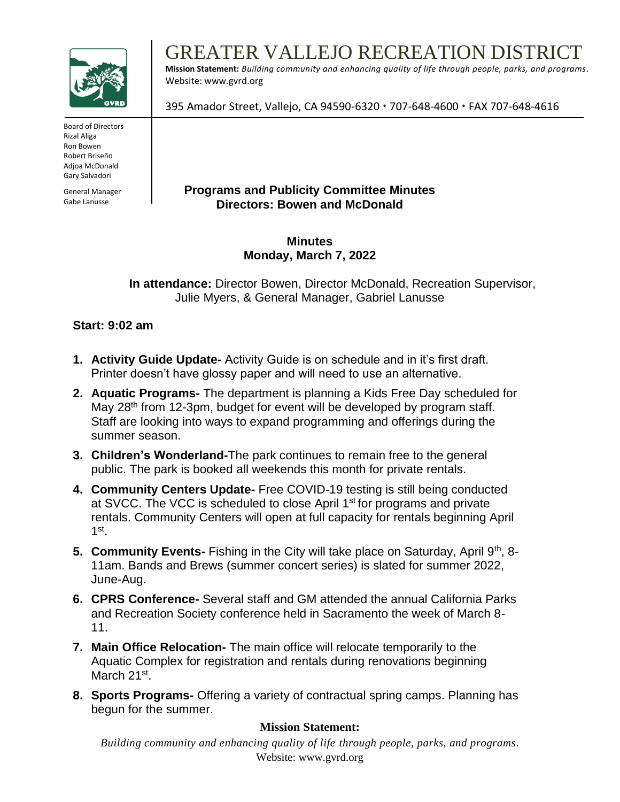

Board of Directors Rizal Aliga Ron Bowen Robert Briseño Adjoa McDonald Gary Salvadori

General Manager Gabe Lanusse

## GREATER VALLEJO RECREATION DISTRIC

**Mission Statement:** *Building community and enhancing quality of life through people, parks, and programs.* Website: www.gvrd.org

395 Amador Street, Vallejo, CA 94590-6320 707-648-4600 FAX 707-648-4616

## **Programs and Publicity Committee Minutes Directors: Bowen and McDonald**

**Minutes Monday, March 7, 2022**

**In attendance:** Director Bowen, Director McDonald, Recreation Supervisor, Julie Myers, & General Manager, Gabriel Lanusse

## **Start: 9:02 am**

- **1. Activity Guide Update-** Activity Guide is on schedule and in it's first draft. Printer doesn't have glossy paper and will need to use an alternative.
- **2. Aquatic Programs-** The department is planning a Kids Free Day scheduled for May 28<sup>th</sup> from 12-3pm, budget for event will be developed by program staff. Staff are looking into ways to expand programming and offerings during the summer season.
- **3. Children's Wonderland-**The park continues to remain free to the general public. The park is booked all weekends this month for private rentals.
- **4. Community Centers Update-** Free COVID-19 testing is still being conducted at SVCC. The VCC is scheduled to close April 1st for programs and private rentals. Community Centers will open at full capacity for rentals beginning April  $1<sup>st</sup>$ .
- **5. Community Events-** Fishing in the City will take place on Saturday, April 9th, 8- 11am. Bands and Brews (summer concert series) is slated for summer 2022, June-Aug.
- **6. CPRS Conference-** Several staff and GM attended the annual California Parks and Recreation Society conference held in Sacramento the week of March 8- 11.
- **7. Main Office Relocation-** The main office will relocate temporarily to the Aquatic Complex for registration and rentals during renovations beginning March 21<sup>st</sup>.
- **8. Sports Programs-** Offering a variety of contractual spring camps. Planning has begun for the summer.

## **Mission Statement:**

*Building community and enhancing quality of life through people, parks, and programs.* Website: www.gvrd.org